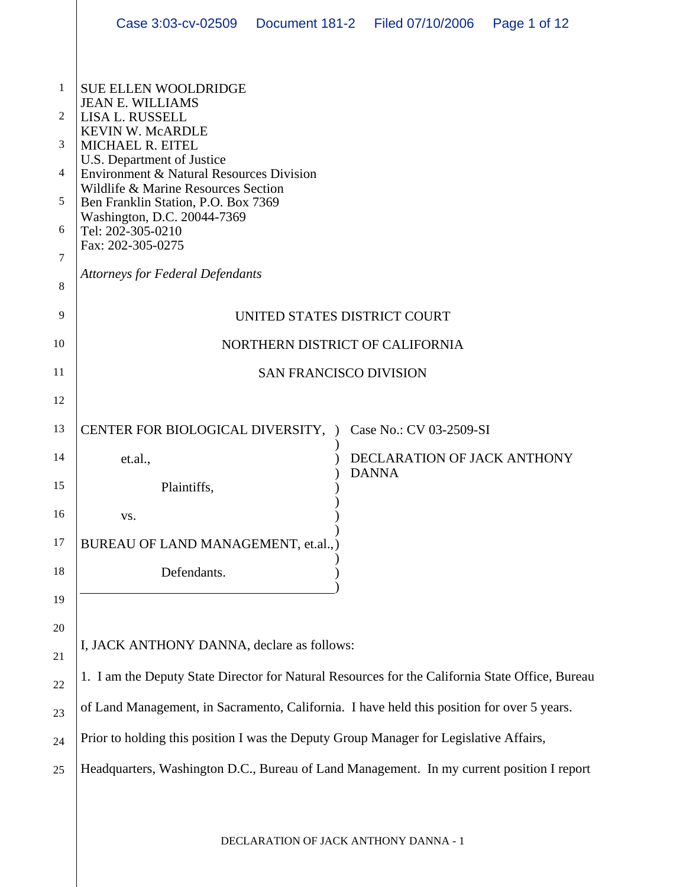|                | Case 3:03-cv-02509   Document 181-2   Filed 07/10/2006                                                                                                                                                                       |  |                                             | Page 1 of 12 |  |  |  |
|----------------|------------------------------------------------------------------------------------------------------------------------------------------------------------------------------------------------------------------------------|--|---------------------------------------------|--------------|--|--|--|
|                |                                                                                                                                                                                                                              |  |                                             |              |  |  |  |
| 1              | <b>SUE ELLEN WOOLDRIDGE</b><br><b>JEAN E. WILLIAMS</b>                                                                                                                                                                       |  |                                             |              |  |  |  |
| 2              | LISA L. RUSSELL<br><b>KEVIN W. McARDLE</b>                                                                                                                                                                                   |  |                                             |              |  |  |  |
| 3              | MICHAEL R. EITEL<br>U.S. Department of Justice<br>Environment & Natural Resources Division<br>Wildlife & Marine Resources Section<br>Ben Franklin Station, P.O. Box 7369<br>Washington, D.C. 20044-7369<br>Tel: 202-305-0210 |  |                                             |              |  |  |  |
| $\overline{4}$ |                                                                                                                                                                                                                              |  |                                             |              |  |  |  |
| 5              |                                                                                                                                                                                                                              |  |                                             |              |  |  |  |
| 6              |                                                                                                                                                                                                                              |  |                                             |              |  |  |  |
| 7              | Fax: 202-305-0275                                                                                                                                                                                                            |  |                                             |              |  |  |  |
| 8              | <b>Attorneys for Federal Defendants</b>                                                                                                                                                                                      |  |                                             |              |  |  |  |
| 9              | UNITED STATES DISTRICT COURT                                                                                                                                                                                                 |  |                                             |              |  |  |  |
| 10             | NORTHERN DISTRICT OF CALIFORNIA                                                                                                                                                                                              |  |                                             |              |  |  |  |
| 11             | <b>SAN FRANCISCO DIVISION</b>                                                                                                                                                                                                |  |                                             |              |  |  |  |
| 12             |                                                                                                                                                                                                                              |  |                                             |              |  |  |  |
| 13             | CENTER FOR BIOLOGICAL DIVERSITY, )                                                                                                                                                                                           |  | Case No.: CV 03-2509-SI                     |              |  |  |  |
| 14             | et.al.,                                                                                                                                                                                                                      |  | DECLARATION OF JACK ANTHONY<br><b>DANNA</b> |              |  |  |  |
| 15             | Plaintiffs,                                                                                                                                                                                                                  |  |                                             |              |  |  |  |
| 16             | VS.                                                                                                                                                                                                                          |  |                                             |              |  |  |  |
| 17             | BUREAU OF LAND MANAGEMENT, et.al.,)                                                                                                                                                                                          |  |                                             |              |  |  |  |
| 18             | Defendants.                                                                                                                                                                                                                  |  |                                             |              |  |  |  |
| 19             |                                                                                                                                                                                                                              |  |                                             |              |  |  |  |
| 20             |                                                                                                                                                                                                                              |  |                                             |              |  |  |  |
| 21             | I, JACK ANTHONY DANNA, declare as follows:                                                                                                                                                                                   |  |                                             |              |  |  |  |
| 22             | 1. I am the Deputy State Director for Natural Resources for the California State Office, Bureau                                                                                                                              |  |                                             |              |  |  |  |
| 23             | of Land Management, in Sacramento, California. I have held this position for over 5 years.                                                                                                                                   |  |                                             |              |  |  |  |
| 24             | Prior to holding this position I was the Deputy Group Manager for Legislative Affairs,                                                                                                                                       |  |                                             |              |  |  |  |
| 25             | Headquarters, Washington D.C., Bureau of Land Management. In my current position I report                                                                                                                                    |  |                                             |              |  |  |  |
|                |                                                                                                                                                                                                                              |  |                                             |              |  |  |  |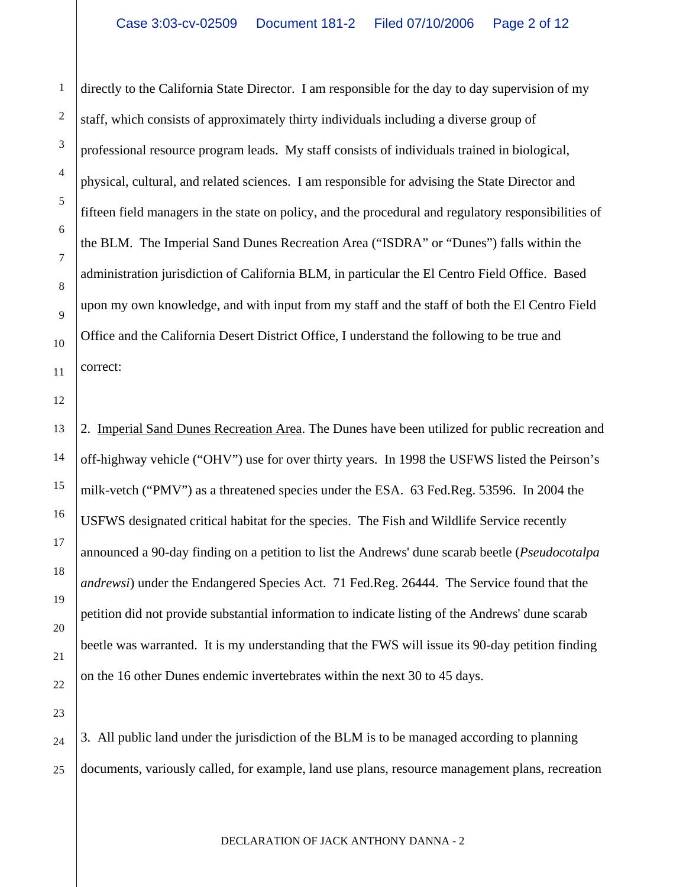directly to the California State Director. I am responsible for the day to day supervision of my staff, which consists of approximately thirty individuals including a diverse group of professional resource program leads. My staff consists of individuals trained in biological, physical, cultural, and related sciences. I am responsible for advising the State Director and fifteen field managers in the state on policy, and the procedural and regulatory responsibilities of the BLM. The Imperial Sand Dunes Recreation Area ("ISDRA" or "Dunes") falls within the administration jurisdiction of California BLM, in particular the El Centro Field Office. Based upon my own knowledge, and with input from my staff and the staff of both the El Centro Field Office and the California Desert District Office, I understand the following to be true and correct:

12 13

14

15

16

17

18

19

20

21

1

2

3

4

5

6

7

8

9

10

11

2. Imperial Sand Dunes Recreation Area. The Dunes have been utilized for public recreation and off-highway vehicle ("OHV") use for over thirty years. In 1998 the USFWS listed the Peirson's milk-vetch ("PMV") as a threatened species under the ESA. 63 Fed.Reg. 53596. In 2004 the USFWS designated critical habitat for the species. The Fish and Wildlife Service recently announced a 90-day finding on a petition to list the Andrews' dune scarab beetle (*Pseudocotalpa andrewsi*) under the Endangered Species Act. 71 Fed.Reg. 26444. The Service found that the petition did not provide substantial information to indicate listing of the Andrews' dune scarab beetle was warranted. It is my understanding that the FWS will issue its 90-day petition finding on the 16 other Dunes endemic invertebrates within the next 30 to 45 days.

22 23

24 25 3. All public land under the jurisdiction of the BLM is to be managed according to planning documents, variously called, for example, land use plans, resource management plans, recreation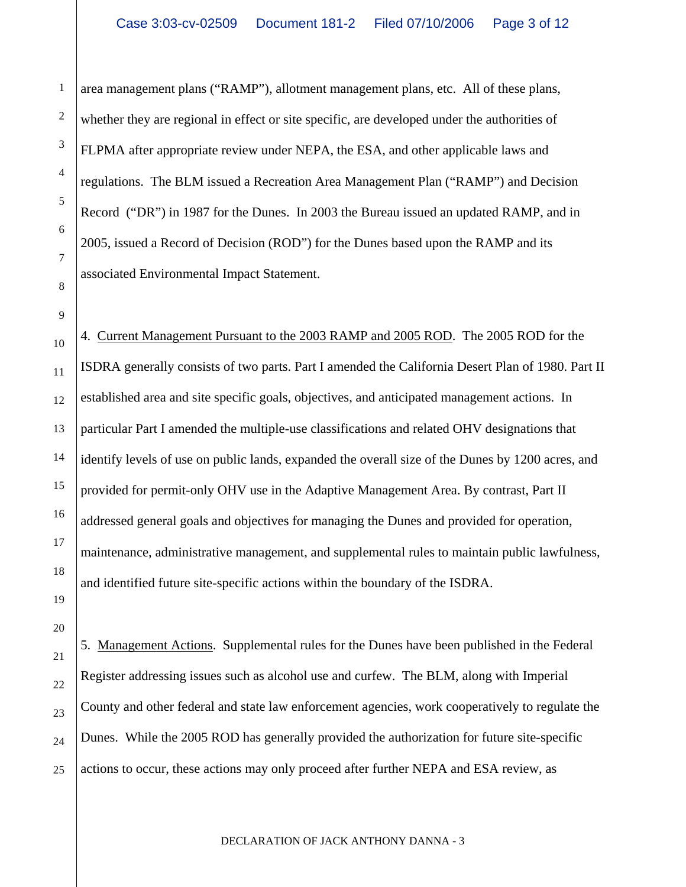area management plans ("RAMP"), allotment management plans, etc. All of these plans, whether they are regional in effect or site specific, are developed under the authorities of FLPMA after appropriate review under NEPA, the ESA, and other applicable laws and regulations. The BLM issued a Recreation Area Management Plan ("RAMP") and Decision Record ("DR") in 1987 for the Dunes. In 2003 the Bureau issued an updated RAMP, and in 2005, issued a Record of Decision (ROD") for the Dunes based upon the RAMP and its associated Environmental Impact Statement.

1

2

3

4

5

6

7

8

9

19

20

21

22

23

24

10 11 12 13 14 15 16 17 18 4. Current Management Pursuant to the 2003 RAMP and 2005 ROD. The 2005 ROD for the ISDRA generally consists of two parts. Part I amended the California Desert Plan of 1980. Part II established area and site specific goals, objectives, and anticipated management actions. In particular Part I amended the multiple-use classifications and related OHV designations that identify levels of use on public lands, expanded the overall size of the Dunes by 1200 acres, and provided for permit-only OHV use in the Adaptive Management Area. By contrast, Part II addressed general goals and objectives for managing the Dunes and provided for operation, maintenance, administrative management, and supplemental rules to maintain public lawfulness, and identified future site-specific actions within the boundary of the ISDRA.

25 5. Management Actions. Supplemental rules for the Dunes have been published in the Federal Register addressing issues such as alcohol use and curfew. The BLM, along with Imperial County and other federal and state law enforcement agencies, work cooperatively to regulate the Dunes. While the 2005 ROD has generally provided the authorization for future site-specific actions to occur, these actions may only proceed after further NEPA and ESA review, as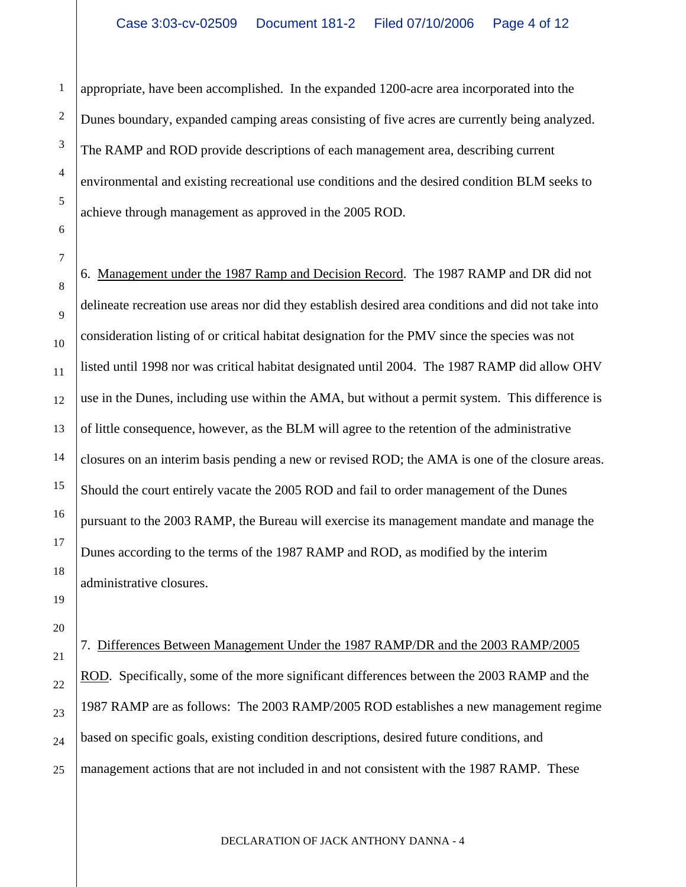appropriate, have been accomplished. In the expanded 1200-acre area incorporated into the Dunes boundary, expanded camping areas consisting of five acres are currently being analyzed. The RAMP and ROD provide descriptions of each management area, describing current environmental and existing recreational use conditions and the desired condition BLM seeks to achieve through management as approved in the 2005 ROD.

1

2

3

4

5

6

7

8

9

10

11

12

13

14

15

16

17

18

19

20

21

22

23

24

25

6. Management under the 1987 Ramp and Decision Record. The 1987 RAMP and DR did not delineate recreation use areas nor did they establish desired area conditions and did not take into consideration listing of or critical habitat designation for the PMV since the species was not listed until 1998 nor was critical habitat designated until 2004. The 1987 RAMP did allow OHV use in the Dunes, including use within the AMA, but without a permit system. This difference is of little consequence, however, as the BLM will agree to the retention of the administrative closures on an interim basis pending a new or revised ROD; the AMA is one of the closure areas. Should the court entirely vacate the 2005 ROD and fail to order management of the Dunes pursuant to the 2003 RAMP, the Bureau will exercise its management mandate and manage the Dunes according to the terms of the 1987 RAMP and ROD, as modified by the interim administrative closures.

7. Differences Between Management Under the 1987 RAMP/DR and the 2003 RAMP/2005 ROD. Specifically, some of the more significant differences between the 2003 RAMP and the 1987 RAMP are as follows: The 2003 RAMP/2005 ROD establishes a new management regime based on specific goals, existing condition descriptions, desired future conditions, and management actions that are not included in and not consistent with the 1987 RAMP. These

DECLARATION OF JACK ANTHONY DANNA - 4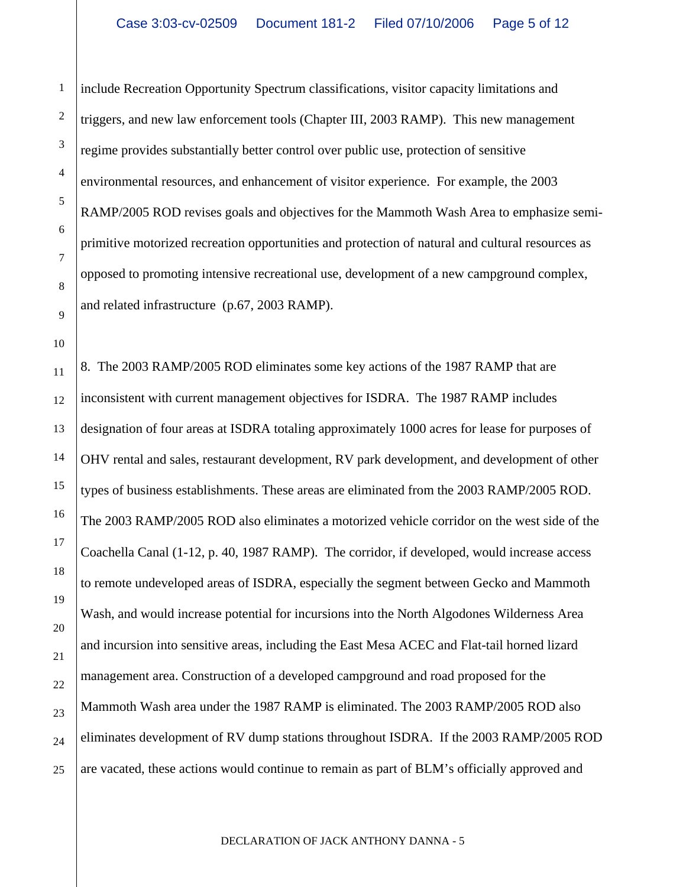1

2

3

4

5

6

7

8

9

10

include Recreation Opportunity Spectrum classifications, visitor capacity limitations and triggers, and new law enforcement tools (Chapter III, 2003 RAMP). This new management regime provides substantially better control over public use, protection of sensitive environmental resources, and enhancement of visitor experience. For example, the 2003 RAMP/2005 ROD revises goals and objectives for the Mammoth Wash Area to emphasize semiprimitive motorized recreation opportunities and protection of natural and cultural resources as opposed to promoting intensive recreational use, development of a new campground complex, and related infrastructure (p.67, 2003 RAMP).

11 12 13 14 15 16 17 18 19 20 21 22 23 24 25 8. The 2003 RAMP/2005 ROD eliminates some key actions of the 1987 RAMP that are inconsistent with current management objectives for ISDRA. The 1987 RAMP includes designation of four areas at ISDRA totaling approximately 1000 acres for lease for purposes of OHV rental and sales, restaurant development, RV park development, and development of other types of business establishments. These areas are eliminated from the 2003 RAMP/2005 ROD. The 2003 RAMP/2005 ROD also eliminates a motorized vehicle corridor on the west side of the Coachella Canal (1-12, p. 40, 1987 RAMP). The corridor, if developed, would increase access to remote undeveloped areas of ISDRA, especially the segment between Gecko and Mammoth Wash, and would increase potential for incursions into the North Algodones Wilderness Area and incursion into sensitive areas, including the East Mesa ACEC and Flat-tail horned lizard management area. Construction of a developed campground and road proposed for the Mammoth Wash area under the 1987 RAMP is eliminated. The 2003 RAMP/2005 ROD also eliminates development of RV dump stations throughout ISDRA. If the 2003 RAMP/2005 ROD are vacated, these actions would continue to remain as part of BLM's officially approved and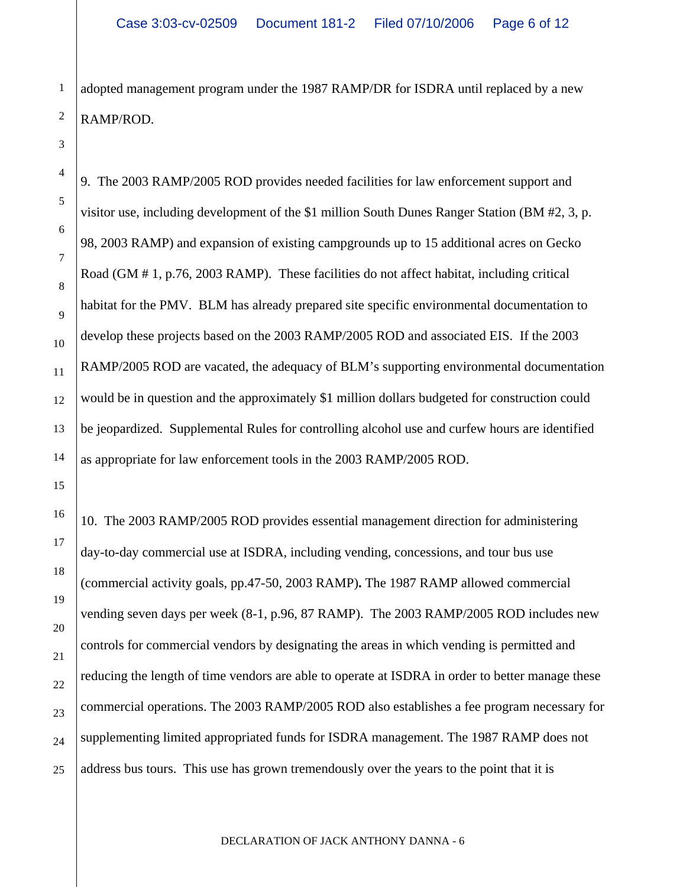adopted management program under the 1987 RAMP/DR for ISDRA until replaced by a new RAMP/ROD.

1

2

3

4

5

6

7

8

9

10

11

12

13

14

15

16

17

18

19

20

21

22

23

24

25

9. The 2003 RAMP/2005 ROD provides needed facilities for law enforcement support and visitor use, including development of the \$1 million South Dunes Ranger Station (BM #2, 3, p. 98, 2003 RAMP) and expansion of existing campgrounds up to 15 additional acres on Gecko Road (GM # 1, p.76, 2003 RAMP). These facilities do not affect habitat, including critical habitat for the PMV. BLM has already prepared site specific environmental documentation to develop these projects based on the 2003 RAMP/2005 ROD and associated EIS. If the 2003 RAMP/2005 ROD are vacated, the adequacy of BLM's supporting environmental documentation would be in question and the approximately \$1 million dollars budgeted for construction could be jeopardized. Supplemental Rules for controlling alcohol use and curfew hours are identified as appropriate for law enforcement tools in the 2003 RAMP/2005 ROD.

10. The 2003 RAMP/2005 ROD provides essential management direction for administering day-to-day commercial use at ISDRA, including vending, concessions, and tour bus use (commercial activity goals, pp.47-50, 2003 RAMP)**.** The 1987 RAMP allowed commercial vending seven days per week (8-1, p.96, 87 RAMP). The 2003 RAMP/2005 ROD includes new controls for commercial vendors by designating the areas in which vending is permitted and reducing the length of time vendors are able to operate at ISDRA in order to better manage these commercial operations. The 2003 RAMP/2005 ROD also establishes a fee program necessary for supplementing limited appropriated funds for ISDRA management. The 1987 RAMP does not address bus tours. This use has grown tremendously over the years to the point that it is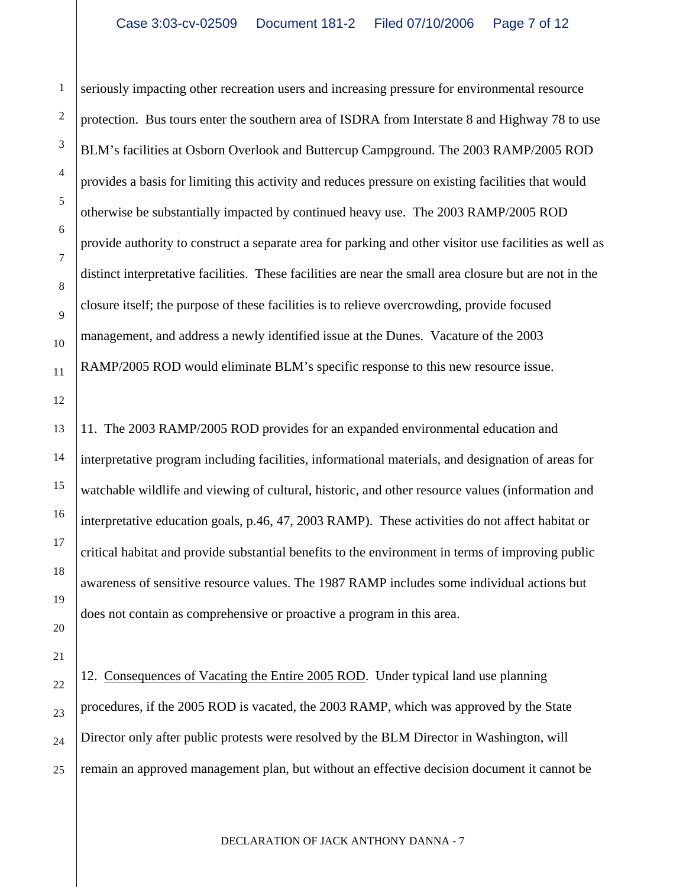1

2

3

4

5

6

7

8

9

10

11

12

13

14

15

16

17

18

19

20

21

seriously impacting other recreation users and increasing pressure for environmental resource protection. Bus tours enter the southern area of ISDRA from Interstate 8 and Highway 78 to use BLM's facilities at Osborn Overlook and Buttercup Campground. The 2003 RAMP/2005 ROD provides a basis for limiting this activity and reduces pressure on existing facilities that would otherwise be substantially impacted by continued heavy use. The 2003 RAMP/2005 ROD provide authority to construct a separate area for parking and other visitor use facilities as well as distinct interpretative facilities. These facilities are near the small area closure but are not in the closure itself; the purpose of these facilities is to relieve overcrowding, provide focused management, and address a newly identified issue at the Dunes. Vacature of the 2003 RAMP/2005 ROD would eliminate BLM's specific response to this new resource issue.

11. The 2003 RAMP/2005 ROD provides for an expanded environmental education and interpretative program including facilities, informational materials, and designation of areas for watchable wildlife and viewing of cultural, historic, and other resource values (information and interpretative education goals, p.46, 47, 2003 RAMP). These activities do not affect habitat or critical habitat and provide substantial benefits to the environment in terms of improving public awareness of sensitive resource values. The 1987 RAMP includes some individual actions but does not contain as comprehensive or proactive a program in this area.

22 23 24 25 12. Consequences of Vacating the Entire 2005 ROD. Under typical land use planning procedures, if the 2005 ROD is vacated, the 2003 RAMP, which was approved by the State Director only after public protests were resolved by the BLM Director in Washington, will remain an approved management plan, but without an effective decision document it cannot be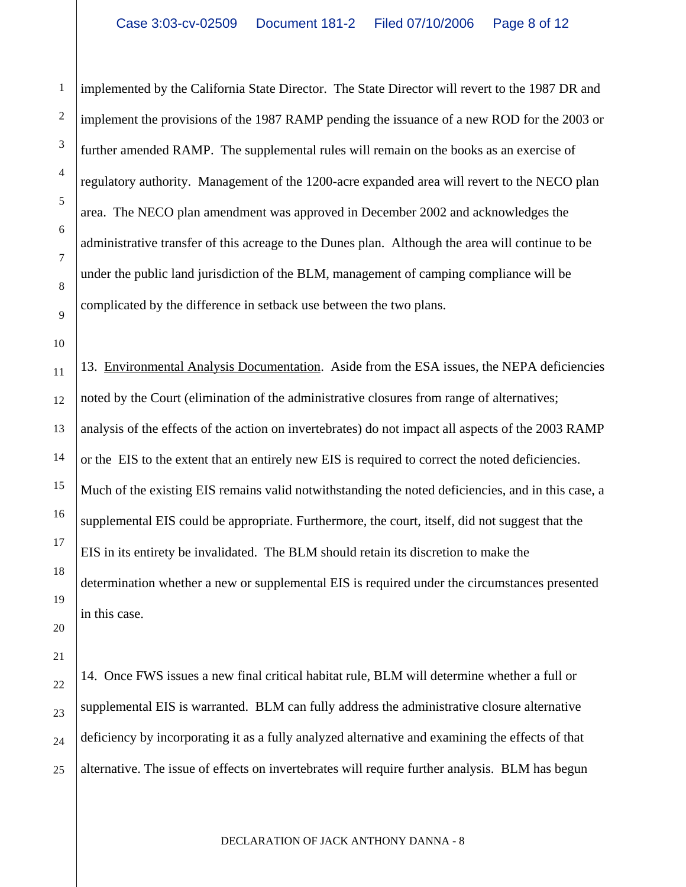implemented by the California State Director. The State Director will revert to the 1987 DR and implement the provisions of the 1987 RAMP pending the issuance of a new ROD for the 2003 or further amended RAMP. The supplemental rules will remain on the books as an exercise of regulatory authority. Management of the 1200-acre expanded area will revert to the NECO plan area. The NECO plan amendment was approved in December 2002 and acknowledges the administrative transfer of this acreage to the Dunes plan. Although the area will continue to be under the public land jurisdiction of the BLM, management of camping compliance will be complicated by the difference in setback use between the two plans.

10

11

12

13

14

15

16

17

18

19

20

21

22

23

24

25

1

2

3

4

5

6

7

8

9

13. Environmental Analysis Documentation. Aside from the ESA issues, the NEPA deficiencies noted by the Court (elimination of the administrative closures from range of alternatives; analysis of the effects of the action on invertebrates) do not impact all aspects of the 2003 RAMP or the EIS to the extent that an entirely new EIS is required to correct the noted deficiencies. Much of the existing EIS remains valid notwithstanding the noted deficiencies, and in this case, a supplemental EIS could be appropriate. Furthermore, the court, itself, did not suggest that the EIS in its entirety be invalidated. The BLM should retain its discretion to make the determination whether a new or supplemental EIS is required under the circumstances presented in this case.

14. Once FWS issues a new final critical habitat rule, BLM will determine whether a full or supplemental EIS is warranted. BLM can fully address the administrative closure alternative deficiency by incorporating it as a fully analyzed alternative and examining the effects of that alternative. The issue of effects on invertebrates will require further analysis. BLM has begun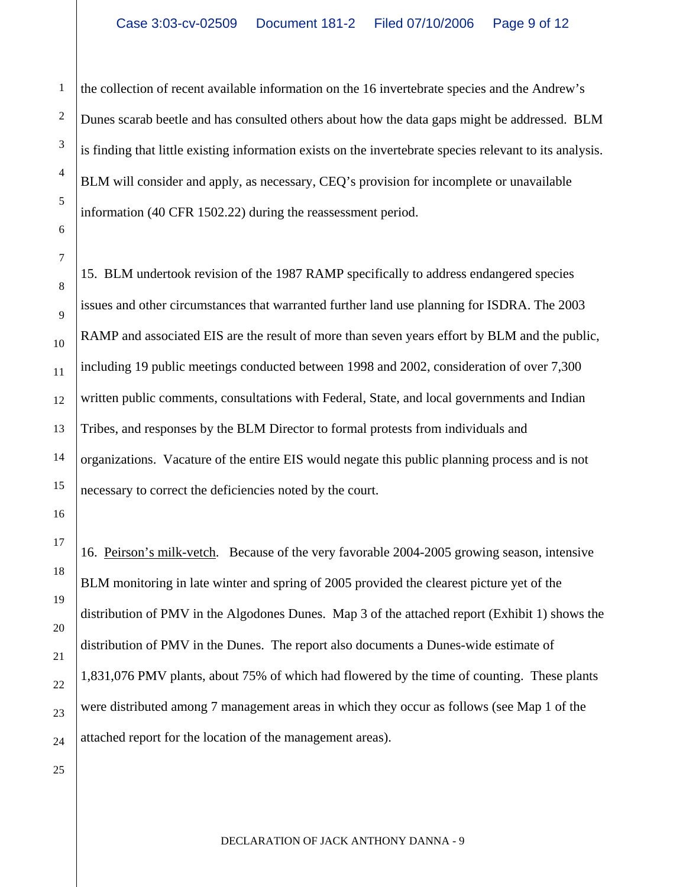the collection of recent available information on the 16 invertebrate species and the Andrew's Dunes scarab beetle and has consulted others about how the data gaps might be addressed. BLM is finding that little existing information exists on the invertebrate species relevant to its analysis. BLM will consider and apply, as necessary, CEQ's provision for incomplete or unavailable information (40 CFR 1502.22) during the reassessment period.

15. BLM undertook revision of the 1987 RAMP specifically to address endangered species issues and other circumstances that warranted further land use planning for ISDRA. The 2003 RAMP and associated EIS are the result of more than seven years effort by BLM and the public, including 19 public meetings conducted between 1998 and 2002, consideration of over 7,300 written public comments, consultations with Federal, State, and local governments and Indian Tribes, and responses by the BLM Director to formal protests from individuals and organizations. Vacature of the entire EIS would negate this public planning process and is not necessary to correct the deficiencies noted by the court.

16. Peirson's milk-vetch. Because of the very favorable 2004-2005 growing season, intensive BLM monitoring in late winter and spring of 2005 provided the clearest picture yet of the distribution of PMV in the Algodones Dunes. Map 3 of the attached report (Exhibit 1) shows the distribution of PMV in the Dunes. The report also documents a Dunes-wide estimate of 1,831,076 PMV plants, about 75% of which had flowered by the time of counting. These plants were distributed among 7 management areas in which they occur as follows (see Map 1 of the attached report for the location of the management areas).

1

2

3

4

5

6

7

8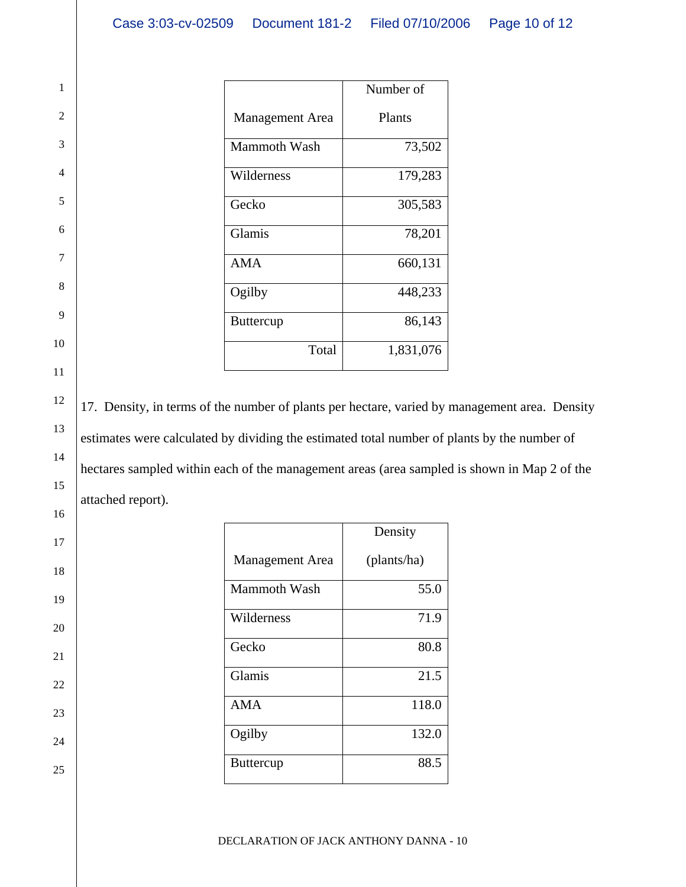|                        | Number of     |
|------------------------|---------------|
| <b>Management</b> Area | <b>Plants</b> |
| <b>Mammoth Wash</b>    | 73,502        |
| Wilderness             | 179,283       |
| Gecko                  | 305,583       |
| Glamis                 | 78,201        |
| <b>AMA</b>             | 660,131       |
| Ogilby                 | 448,233       |
| <b>Buttercup</b>       | 86,143        |
| Total                  | 1,831,076     |

1

2

3

4

5

6

7

8

9

10

11

12

13

14

15

16

17

18

19

20

21

22

23

24

25

17. Density, in terms of the number of plants per hectare, varied by management area. Density estimates were calculated by dividing the estimated total number of plants by the number of hectares sampled within each of the management areas (area sampled is shown in Map 2 of the attached report).

|                        | Density     |
|------------------------|-------------|
| <b>Management</b> Area | (plants/ha) |
| <b>Mammoth Wash</b>    | 55.0        |
| Wilderness             | 71.9        |
| Gecko                  | 80.8        |
| Glamis                 | 21.5        |
| <b>AMA</b>             | 118.0       |
| Ogilby                 | 132.0       |
| <b>Buttercup</b>       | 88.5        |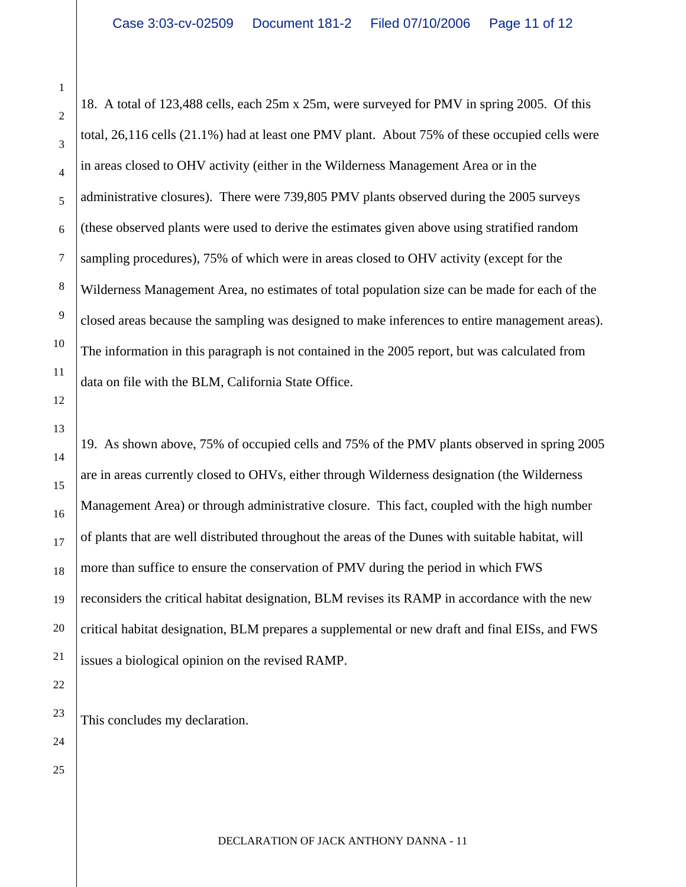18. A total of 123,488 cells, each 25m x 25m, were surveyed for PMV in spring 2005. Of this total, 26,116 cells (21.1%) had at least one PMV plant. About 75% of these occupied cells were in areas closed to OHV activity (either in the Wilderness Management Area or in the administrative closures). There were 739,805 PMV plants observed during the 2005 surveys (these observed plants were used to derive the estimates given above using stratified random sampling procedures), 75% of which were in areas closed to OHV activity (except for the Wilderness Management Area, no estimates of total population size can be made for each of the closed areas because the sampling was designed to make inferences to entire management areas). The information in this paragraph is not contained in the 2005 report, but was calculated from data on file with the BLM, California State Office.

19. As shown above, 75% of occupied cells and 75% of the PMV plants observed in spring 2005 are in areas currently closed to OHVs, either through Wilderness designation (the Wilderness Management Area) or through administrative closure. This fact, coupled with the high number of plants that are well distributed throughout the areas of the Dunes with suitable habitat, will more than suffice to ensure the conservation of PMV during the period in which FWS reconsiders the critical habitat designation, BLM revises its RAMP in accordance with the new critical habitat designation, BLM prepares a supplemental or new draft and final EISs, and FWS issues a biological opinion on the revised RAMP.

This concludes my declaration.